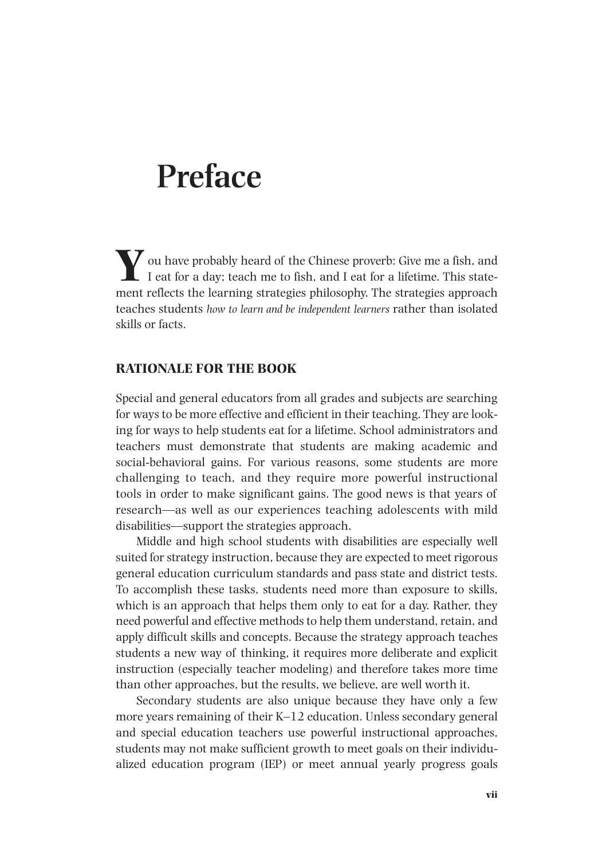# **Preface**

**Y** ou have probably heard of the Chinese proverb: Give me a fish, and **I** eat for a day tooch me to find the state of the state of  $\sim$ I eat for a day; teach me to fish, and I eat for a lifetime. This statement reflects the learning strategies philosophy. The strategies approach teaches students *how to learn and be independent learners* rather than isolated skills or facts.

## **RATIONALE FOR THE BOOK**

Special and general educators from all grades and subjects are searching for ways to be more effective and efficient in their teaching. They are looking for ways to help students eat for a lifetime. School administrators and teachers must demonstrate that students are making academic and social-behavioral gains. For various reasons, some students are more challenging to teach, and they require more powerful instructional tools in order to make significant gains. The good news is that years of research—as well as our experiences teaching adolescents with mild disabilities—support the strategies approach.

Middle and high school students with disabilities are especially well suited for strategy instruction, because they are expected to meet rigorous general education curriculum standards and pass state and district tests. To accomplish these tasks, students need more than exposure to skills, which is an approach that helps them only to eat for a day. Rather, they need powerful and effective methods to help them understand, retain, and apply difficult skills and concepts. Because the strategy approach teaches students a new way of thinking, it requires more deliberate and explicit instruction (especially teacher modeling) and therefore takes more time than other approaches, but the results, we believe, are well worth it.

Secondary students are also unique because they have only a few more years remaining of their K–12 education. Unless secondary general and special education teachers use powerful instructional approaches, students may not make sufficient growth to meet goals on their individualized education program (IEP) or meet annual yearly progress goals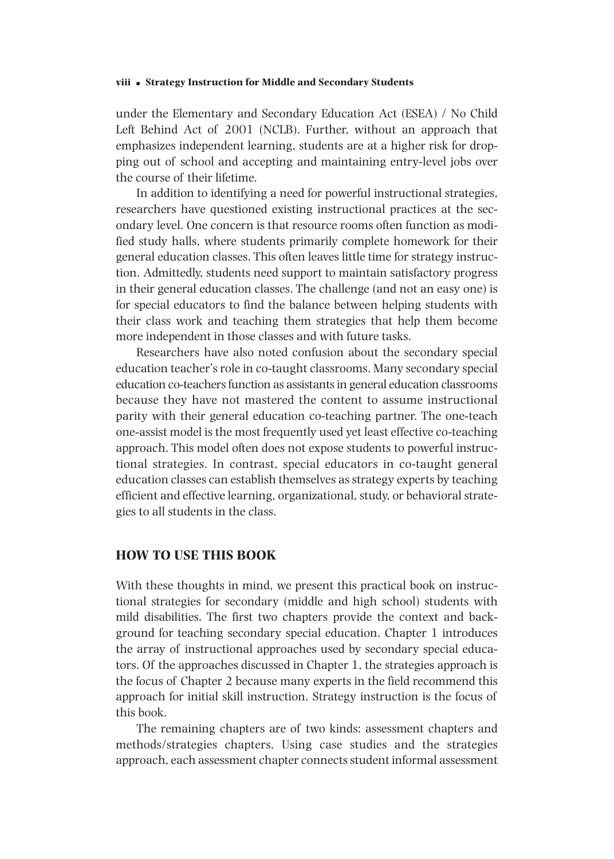#### **viii** • **Strategy Instruction for Middle and Secondary Students**

under the Elementary and Secondary Education Act (ESEA) / No Child Left Behind Act of 2001 (NCLB). Further, without an approach that emphasizes independent learning, students are at a higher risk for dropping out of school and accepting and maintaining entry-level jobs over the course of their lifetime.

In addition to identifying a need for powerful instructional strategies, researchers have questioned existing instructional practices at the secondary level. One concern is that resource rooms often function as modified study halls, where students primarily complete homework for their general education classes. This often leaves little time for strategy instruction. Admittedly, students need support to maintain satisfactory progress in their general education classes. The challenge (and not an easy one) is for special educators to find the balance between helping students with their class work and teaching them strategies that help them become more independent in those classes and with future tasks.

Researchers have also noted confusion about the secondary special education teacher's role in co-taught classrooms. Many secondary special education co-teachers function as assistants in general education classrooms because they have not mastered the content to assume instructional parity with their general education co-teaching partner. The one-teach one-assist model is the most frequently used yet least effective co-teaching approach. This model often does not expose students to powerful instructional strategies. In contrast, special educators in co-taught general education classes can establish themselves as strategy experts by teaching efficient and effective learning, organizational, study, or behavioral strategies to all students in the class.

### **HOW TO USE THIS BOOK**

With these thoughts in mind, we present this practical book on instructional strategies for secondary (middle and high school) students with mild disabilities. The first two chapters provide the context and background for teaching secondary special education. Chapter 1 introduces the array of instructional approaches used by secondary special educators. Of the approaches discussed in Chapter 1, the strategies approach is the focus of Chapter 2 because many experts in the field recommend this approach for initial skill instruction. Strategy instruction is the focus of this book.

The remaining chapters are of two kinds: assessment chapters and methods/strategies chapters. Using case studies and the strategies approach, each assessment chapter connects student informal assessment